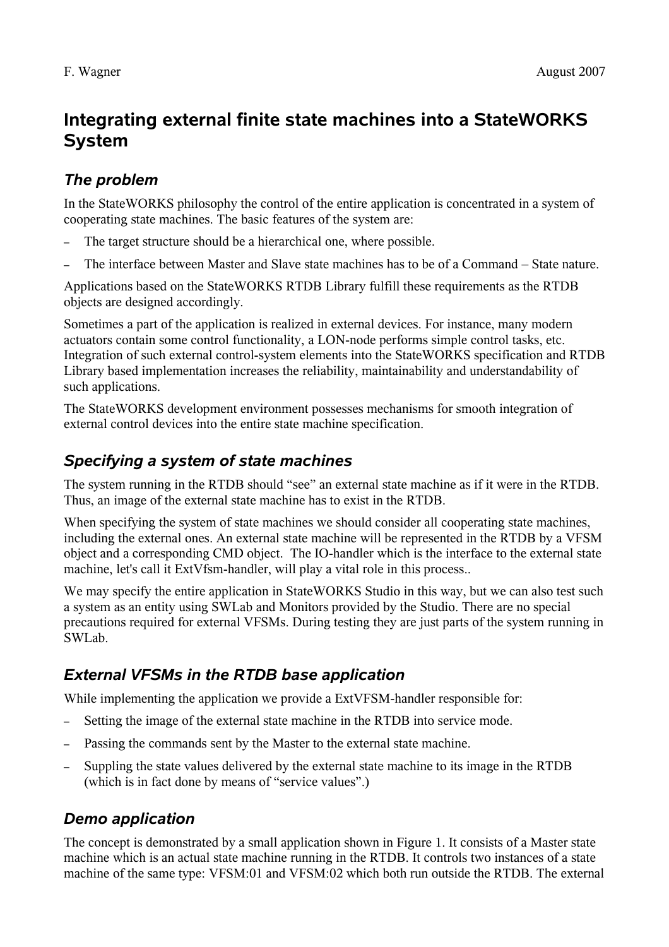# **Integrating external finite state machines into a StateWORKS System**

## *The problem*

In the StateWORKS philosophy the control of the entire application is concentrated in a system of cooperating state machines. The basic features of the system are:

- The target structure should be a hierarchical one, where possible.
- The interface between Master and Slave state machines has to be of a Command State nature.

Applications based on the StateWORKS RTDB Library fulfill these requirements as the RTDB objects are designed accordingly.

Sometimes a part of the application is realized in external devices. For instance, many modern actuators contain some control functionality, a LON-node performs simple control tasks, etc. Integration of such external control-system elements into the StateWORKS specification and RTDB Library based implementation increases the reliability, maintainability and understandability of such applications.

The StateWORKS development environment possesses mechanisms for smooth integration of external control devices into the entire state machine specification.

#### *Specifying a system of state machines*

The system running in the RTDB should "see" an external state machine as if it were in the RTDB. Thus, an image of the external state machine has to exist in the RTDB.

When specifying the system of state machines we should consider all cooperating state machines, including the external ones. An external state machine will be represented in the RTDB by a VFSM object and a corresponding CMD object. The IO-handler which is the interface to the external state machine, let's call it ExtVfsm-handler, will play a vital role in this process..

We may specify the entire application in StateWORKS Studio in this way, but we can also test such a system as an entity using SWLab and Monitors provided by the Studio. There are no special precautions required for external VFSMs. During testing they are just parts of the system running in SWLab.

## *External VFSMs in the RTDB base application*

While implementing the application we provide a ExtVFSM-handler responsible for:

- Setting the image of the external state machine in the RTDB into service mode.
- Passing the commands sent by the Master to the external state machine.
- Suppling the state values delivered by the external state machine to its image in the RTDB (which is in fact done by means of "service values".)

#### *Demo application*

The concept is demonstrated by a small application shown in [Figure 1.](#page-1-0) It consists of a Master state machine which is an actual state machine running in the RTDB. It controls two instances of a state machine of the same type: VFSM:01 and VFSM:02 which both run outside the RTDB. The external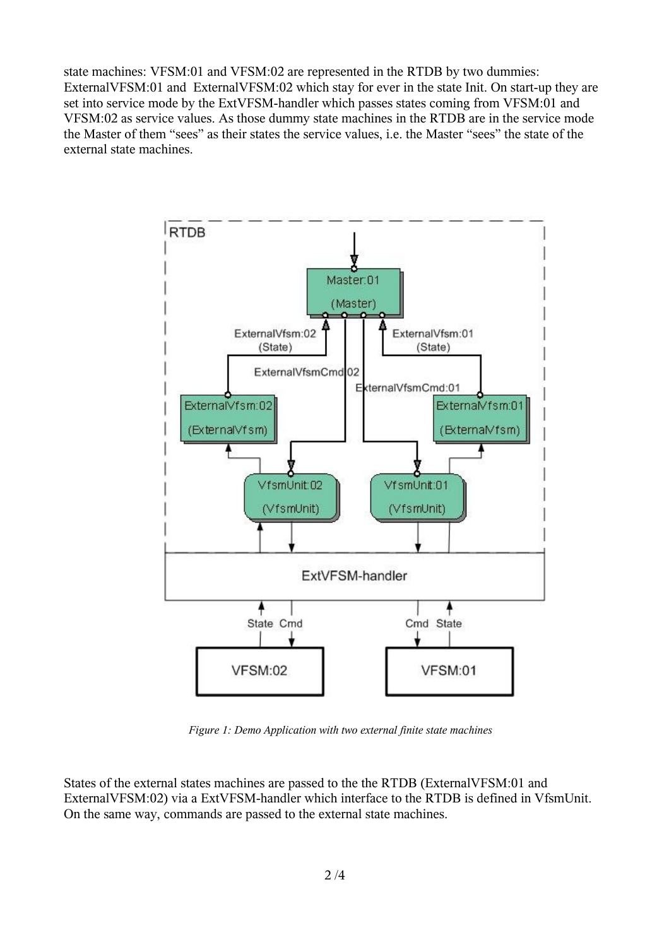state machines: VFSM:01 and VFSM:02 are represented in the RTDB by two dummies: ExternalVFSM:01 and ExternalVFSM:02 which stay for ever in the state Init. On start-up they are set into service mode by the ExtVFSM-handler which passes states coming from VFSM:01 and VFSM:02 as service values. As those dummy state machines in the RTDB are in the service mode the Master of them "sees" as their states the service values, i.e. the Master "sees" the state of the external state machines.



<span id="page-1-0"></span>*Figure 1: Demo Application with two external finite state machines*

States of the external states machines are passed to the the RTDB (ExternalVFSM:01 and ExternalVFSM:02) via a ExtVFSM-handler which interface to the RTDB is defined in VfsmUnit. On the same way, commands are passed to the external state machines.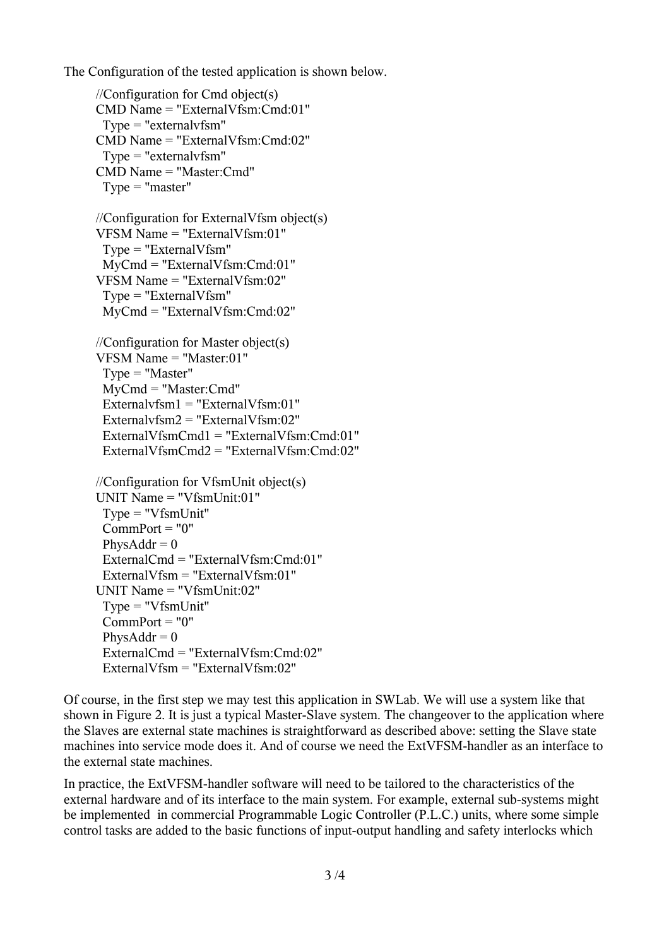The Configuration of the tested application is shown below.

//Configuration for Cmd object(s) CMD Name = "ExternalVfsm:Cmd:01" Type = "externalvfsm" CMD Name = "ExternalVfsm:Cmd:02" Type = "externalvfsm" CMD Name = "Master:Cmd" Type = "master" //Configuration for ExternalVfsm object(s) VFSM Name = "ExternalVfsm:01" Type = "ExternalVfsm" MyCmd = "ExternalVfsm:Cmd:01" VFSM Name = "ExternalVfsm:02" Type = "ExternalVfsm" MyCmd = "ExternalVfsm:Cmd:02" //Configuration for Master object(s) VFSM Name = "Master:01" Type = "Master" MyCmd = "Master:Cmd" Externalvfsm1 = "ExternalVfsm:01" Externalvfsm2 = "ExternalVfsm:02" ExternalVfsmCmd1 = "ExternalVfsm:Cmd:01" ExternalVfsmCmd2 = "ExternalVfsm:Cmd:02" //Configuration for VfsmUnit object(s) UNIT Name = "VfsmUnit:01" Type = "VfsmUnit"  $Comment = "0"$ Phys $Addr = 0$  ExternalCmd = "ExternalVfsm:Cmd:01" ExternalVfsm = "ExternalVfsm:01" UNIT Name = "VfsmUnit:02" Type = "VfsmUnit"  $CommonPort = "0"$  $PhvsAddr = 0$  ExternalCmd = "ExternalVfsm:Cmd:02" ExternalVfsm = "ExternalVfsm:02"

Of course, in the first step we may test this application in SWLab. We will use a system like that shown in [Figure 2.](#page-3-0) It is just a typical Master-Slave system. The changeover to the application where the Slaves are external state machines is straightforward as described above: setting the Slave state machines into service mode does it. And of course we need the ExtVFSM-handler as an interface to the external state machines.

In practice, the ExtVFSM-handler software will need to be tailored to the characteristics of the external hardware and of its interface to the main system. For example, external sub-systems might be implemented in commercial Programmable Logic Controller (P.L.C.) units, where some simple control tasks are added to the basic functions of input-output handling and safety interlocks which